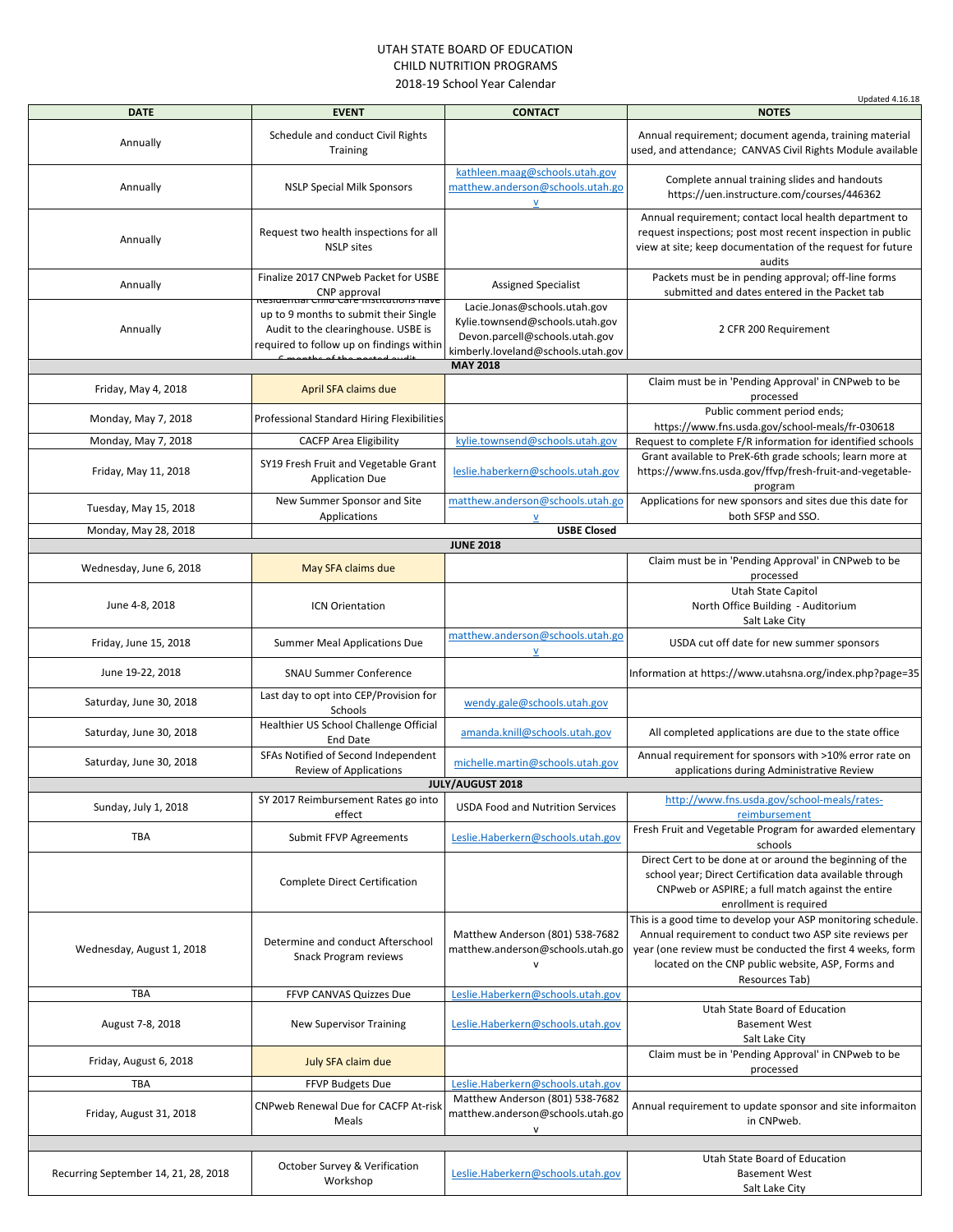## UTAH STATE BOARD OF EDUCATION CHILD NUTRITION PROGRAMS 2018-19 School Year Calendar

|                                      |                                                                                                                                                                       |                                                                                                                                         | <b>Updated 4.16.18</b>                                                                                                                                                                                                                                      |
|--------------------------------------|-----------------------------------------------------------------------------------------------------------------------------------------------------------------------|-----------------------------------------------------------------------------------------------------------------------------------------|-------------------------------------------------------------------------------------------------------------------------------------------------------------------------------------------------------------------------------------------------------------|
| <b>DATE</b>                          | <b>EVENT</b>                                                                                                                                                          | <b>CONTACT</b>                                                                                                                          | <b>NOTES</b>                                                                                                                                                                                                                                                |
| Annually                             | Schedule and conduct Civil Rights<br>Training                                                                                                                         |                                                                                                                                         | Annual requirement; document agenda, training material<br>used, and attendance; CANVAS Civil Rights Module available                                                                                                                                        |
|                                      |                                                                                                                                                                       | kathleen.maag@schools.utah.gov                                                                                                          |                                                                                                                                                                                                                                                             |
| Annually                             | <b>NSLP Special Milk Sponsors</b>                                                                                                                                     | matthew.anderson@schools.utah.go<br>${\sf V}$                                                                                           | Complete annual training slides and handouts<br>https://uen.instructure.com/courses/446362                                                                                                                                                                  |
| Annually                             | Request two health inspections for all<br><b>NSLP</b> sites                                                                                                           |                                                                                                                                         | Annual requirement; contact local health department to<br>request inspections; post most recent inspection in public<br>view at site; keep documentation of the request for future<br>audits                                                                |
| Annually                             | Finalize 2017 CNPweb Packet for USBE<br>CNP approval                                                                                                                  | <b>Assigned Specialist</b>                                                                                                              | Packets must be in pending approval; off-line forms<br>submitted and dates entered in the Packet tab                                                                                                                                                        |
| Annually                             | Residential Crilio Care Institutions nave<br>up to 9 months to submit their Single<br>Audit to the clearinghouse. USBE is<br>required to follow up on findings within | Lacie.Jonas@schools.utah.gov<br>Kylie.townsend@schools.utah.gov<br>Devon.parcell@schools.utah.gov<br>kimberly.loveland@schools.utah.gov | 2 CFR 200 Requirement                                                                                                                                                                                                                                       |
|                                      |                                                                                                                                                                       | <b>MAY 2018</b>                                                                                                                         |                                                                                                                                                                                                                                                             |
| Friday, May 4, 2018                  | April SFA claims due                                                                                                                                                  |                                                                                                                                         | Claim must be in 'Pending Approval' in CNPweb to be<br>processed                                                                                                                                                                                            |
| Monday, May 7, 2018                  | Professional Standard Hiring Flexibilities                                                                                                                            |                                                                                                                                         | Public comment period ends;<br>https://www.fns.usda.gov/school-meals/fr-030618                                                                                                                                                                              |
| Monday, May 7, 2018                  | <b>CACFP Area Eligibility</b>                                                                                                                                         | kylie.townsend@schools.utah.gov                                                                                                         | Request to complete F/R information for identified schools                                                                                                                                                                                                  |
| Friday, May 11, 2018                 | SY19 Fresh Fruit and Vegetable Grant<br><b>Application Due</b>                                                                                                        | leslie.haberkern@schools.utah.gov                                                                                                       | Grant available to PreK-6th grade schools; learn more at<br>https://www.fns.usda.gov/ffvp/fresh-fruit-and-vegetable-<br>program                                                                                                                             |
| Tuesday, May 15, 2018                | New Summer Sponsor and Site<br>Applications                                                                                                                           | matthew.anderson@schools.utah.go<br>$\mathsf{V}$                                                                                        | Applications for new sponsors and sites due this date for<br>both SFSP and SSO.                                                                                                                                                                             |
| Monday, May 28, 2018                 |                                                                                                                                                                       | <b>USBE Closed</b>                                                                                                                      |                                                                                                                                                                                                                                                             |
|                                      |                                                                                                                                                                       | <b>JUNE 2018</b>                                                                                                                        |                                                                                                                                                                                                                                                             |
| Wednesday, June 6, 2018              | May SFA claims due                                                                                                                                                    |                                                                                                                                         | Claim must be in 'Pending Approval' in CNPweb to be<br>processed                                                                                                                                                                                            |
| June 4-8, 2018                       | <b>ICN Orientation</b>                                                                                                                                                |                                                                                                                                         | Utah State Capitol<br>North Office Building - Auditorium<br>Salt Lake City                                                                                                                                                                                  |
| Friday, June 15, 2018                | <b>Summer Meal Applications Due</b>                                                                                                                                   | matthew.anderson@schools.utah.go<br>${\sf V}$                                                                                           | USDA cut off date for new summer sponsors                                                                                                                                                                                                                   |
| June 19-22, 2018                     | <b>SNAU Summer Conference</b>                                                                                                                                         |                                                                                                                                         | Information at https://www.utahsna.org/index.php?page=35                                                                                                                                                                                                    |
| Saturday, June 30, 2018              | Last day to opt into CEP/Provision for<br>Schools                                                                                                                     | wendy.gale@schools.utah.gov                                                                                                             |                                                                                                                                                                                                                                                             |
| Saturday, June 30, 2018              | Healthier US School Challenge Official<br>End Date                                                                                                                    | amanda.knill@schools.utah.gov                                                                                                           | All completed applications are due to the state office                                                                                                                                                                                                      |
| Saturday, June 30, 2018              | SFAs Notified of Second Independent<br>Review of Applications                                                                                                         | michelle.martin@schools.utah.gov                                                                                                        | Annual requirement for sponsors with >10% error rate on<br>applications during Administrative Review                                                                                                                                                        |
|                                      |                                                                                                                                                                       | <b>JULY/AUGUST 2018</b>                                                                                                                 |                                                                                                                                                                                                                                                             |
| Sunday, July 1, 2018                 | SY 2017 Reimbursement Rates go into<br>effect                                                                                                                         | <b>USDA Food and Nutrition Services</b>                                                                                                 | http://www.fns.usda.gov/school-meals/rates-<br>reimbursement                                                                                                                                                                                                |
| TBA                                  | Submit FFVP Agreements                                                                                                                                                | Leslie.Haberkern@schools.utah.gov                                                                                                       | Fresh Fruit and Vegetable Program for awarded elementary                                                                                                                                                                                                    |
|                                      | Complete Direct Certification                                                                                                                                         |                                                                                                                                         | schools<br>Direct Cert to be done at or around the beginning of the<br>school year; Direct Certification data available through<br>CNPweb or ASPIRE; a full match against the entire<br>enrollment is required                                              |
| Wednesday, August 1, 2018            | Determine and conduct Afterschool<br>Snack Program reviews                                                                                                            | Matthew Anderson (801) 538-7682<br>matthew.anderson@schools.utah.go<br>$\mathsf{v}$                                                     | This is a good time to develop your ASP monitoring schedule.<br>Annual requirement to conduct two ASP site reviews per<br>year (one review must be conducted the first 4 weeks, form<br>located on the CNP public website, ASP, Forms and<br>Resources Tab) |
| <b>TBA</b>                           | FFVP CANVAS Quizzes Due                                                                                                                                               | Leslie.Haberkern@schools.utah.gov                                                                                                       |                                                                                                                                                                                                                                                             |
| August 7-8, 2018                     | <b>New Supervisor Training</b>                                                                                                                                        | Leslie.Haberkern@schools.utah.gov                                                                                                       | Utah State Board of Education<br><b>Basement West</b>                                                                                                                                                                                                       |
| Friday, August 6, 2018               | July SFA claim due                                                                                                                                                    |                                                                                                                                         | Salt Lake City<br>Claim must be in 'Pending Approval' in CNPweb to be<br>processed                                                                                                                                                                          |
| <b>TBA</b>                           | FFVP Budgets Due                                                                                                                                                      | Leslie.Haberkern@schools.utah.gov                                                                                                       |                                                                                                                                                                                                                                                             |
| Friday, August 31, 2018              | <b>CNPweb Renewal Due for CACFP At-risk</b><br>Meals                                                                                                                  | Matthew Anderson (801) 538-7682<br>matthew.anderson@schools.utah.go<br>${\sf v}$                                                        | Annual requirement to update sponsor and site informaiton<br>in CNPweb.                                                                                                                                                                                     |
|                                      |                                                                                                                                                                       |                                                                                                                                         |                                                                                                                                                                                                                                                             |
| Recurring September 14, 21, 28, 2018 | October Survey & Verification<br>Workshop                                                                                                                             | Leslie.Haberkern@schools.utah.gov                                                                                                       | Utah State Board of Education<br><b>Basement West</b><br>Salt Lake City                                                                                                                                                                                     |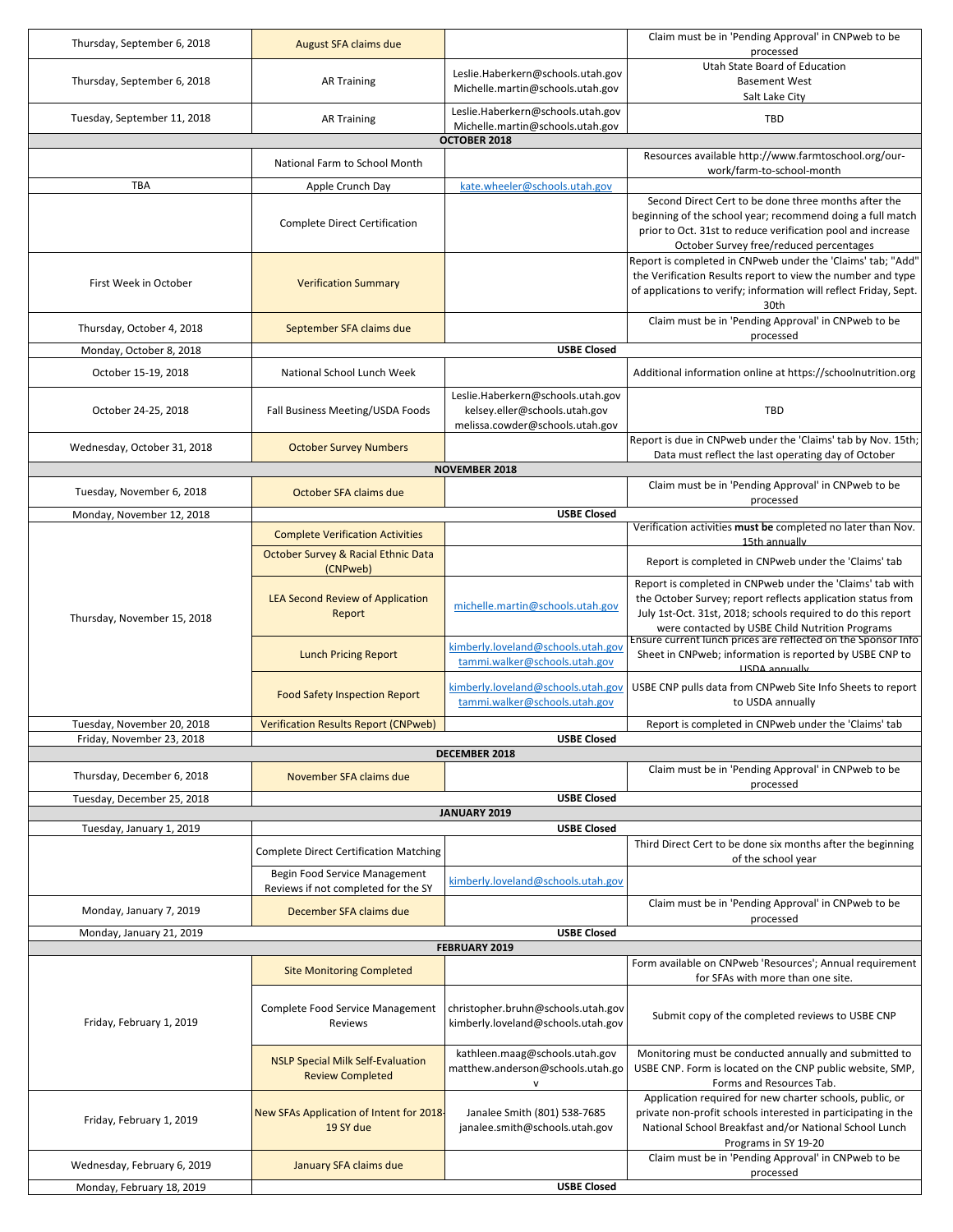| Thursday, September 6, 2018                                          | August SFA claims due                                               |                                                                  | Claim must be in 'Pending Approval' in CNPweb to be                                                                       |  |  |
|----------------------------------------------------------------------|---------------------------------------------------------------------|------------------------------------------------------------------|---------------------------------------------------------------------------------------------------------------------------|--|--|
|                                                                      |                                                                     |                                                                  | processed<br>Utah State Board of Education                                                                                |  |  |
| Thursday, September 6, 2018                                          | <b>AR Training</b>                                                  | Leslie.Haberkern@schools.utah.gov                                | <b>Basement West</b>                                                                                                      |  |  |
|                                                                      |                                                                     | Michelle.martin@schools.utah.gov                                 | Salt Lake City                                                                                                            |  |  |
| Tuesday, September 11, 2018                                          | <b>AR Training</b>                                                  | Leslie.Haberkern@schools.utah.gov                                | TBD                                                                                                                       |  |  |
| Michelle.martin@schools.utah.gov                                     |                                                                     |                                                                  |                                                                                                                           |  |  |
| OCTOBER 2018<br>Resources available http://www.farmtoschool.org/our- |                                                                     |                                                                  |                                                                                                                           |  |  |
|                                                                      | National Farm to School Month                                       |                                                                  | work/farm-to-school-month                                                                                                 |  |  |
| <b>TBA</b>                                                           | Apple Crunch Day                                                    | kate.wheeler@schools.utah.gov                                    |                                                                                                                           |  |  |
|                                                                      |                                                                     |                                                                  | Second Direct Cert to be done three months after the                                                                      |  |  |
|                                                                      | <b>Complete Direct Certification</b>                                |                                                                  | beginning of the school year; recommend doing a full match<br>prior to Oct. 31st to reduce verification pool and increase |  |  |
|                                                                      |                                                                     |                                                                  | October Survey free/reduced percentages                                                                                   |  |  |
|                                                                      |                                                                     |                                                                  | Report is completed in CNPweb under the 'Claims' tab; "Add"                                                               |  |  |
| First Week in October                                                | <b>Verification Summary</b>                                         |                                                                  | the Verification Results report to view the number and type                                                               |  |  |
|                                                                      |                                                                     |                                                                  | of applications to verify; information will reflect Friday, Sept.                                                         |  |  |
|                                                                      |                                                                     |                                                                  | 30th                                                                                                                      |  |  |
| Thursday, October 4, 2018                                            | September SFA claims due                                            |                                                                  | Claim must be in 'Pending Approval' in CNPweb to be<br>processed                                                          |  |  |
| Monday, October 8, 2018                                              |                                                                     | <b>USBE Closed</b>                                               |                                                                                                                           |  |  |
|                                                                      |                                                                     |                                                                  |                                                                                                                           |  |  |
| October 15-19, 2018                                                  | National School Lunch Week                                          |                                                                  | Additional information online at https://schoolnutrition.org                                                              |  |  |
|                                                                      |                                                                     | Leslie.Haberkern@schools.utah.gov                                |                                                                                                                           |  |  |
| October 24-25, 2018                                                  | Fall Business Meeting/USDA Foods                                    | kelsey.eller@schools.utah.gov<br>melissa.cowder@schools.utah.gov | TBD                                                                                                                       |  |  |
|                                                                      |                                                                     |                                                                  | Report is due in CNPweb under the 'Claims' tab by Nov. 15th;                                                              |  |  |
| Wednesday, October 31, 2018                                          | <b>October Survey Numbers</b>                                       |                                                                  | Data must reflect the last operating day of October                                                                       |  |  |
|                                                                      |                                                                     | <b>NOVEMBER 2018</b>                                             |                                                                                                                           |  |  |
| Tuesday, November 6, 2018                                            | October SFA claims due                                              |                                                                  | Claim must be in 'Pending Approval' in CNPweb to be                                                                       |  |  |
| Monday, November 12, 2018                                            |                                                                     | <b>USBE Closed</b>                                               | processed                                                                                                                 |  |  |
|                                                                      | <b>Complete Verification Activities</b>                             |                                                                  | Verification activities must be completed no later than Nov.                                                              |  |  |
|                                                                      |                                                                     |                                                                  | 15th annually                                                                                                             |  |  |
|                                                                      | <b>October Survey &amp; Racial Ethnic Data</b><br>(CNPweb)          |                                                                  | Report is completed in CNPweb under the 'Claims' tab                                                                      |  |  |
|                                                                      |                                                                     |                                                                  | Report is completed in CNPweb under the 'Claims' tab with                                                                 |  |  |
|                                                                      | LEA Second Review of Application                                    | michelle.martin@schools.utah.gov                                 | the October Survey; report reflects application status from                                                               |  |  |
| Thursday, November 15, 2018                                          | Report                                                              |                                                                  | July 1st-Oct. 31st, 2018; schools required to do this report                                                              |  |  |
|                                                                      |                                                                     |                                                                  | were contacted by USBE Child Nutrition Programs<br>Ensure current lunch prices are reflected on the Sponsor Info          |  |  |
|                                                                      | <b>Lunch Pricing Report</b>                                         | kimberly.loveland@schools.utah.gov                               | Sheet in CNPweb; information is reported by USBE CNP to                                                                   |  |  |
|                                                                      |                                                                     | tammi.walker@schools.utah.gov                                    | <b>USDA</b> annually                                                                                                      |  |  |
|                                                                      | <b>Food Safety Inspection Report</b>                                | kimberly.loveland@schools.utah.gov                               | USBE CNP pulls data from CNPweb Site Info Sheets to report                                                                |  |  |
|                                                                      |                                                                     | tammi.walker@schools.utah.gov                                    | to USDA annually                                                                                                          |  |  |
| Tuesday, November 20, 2018                                           | <b>Verification Results Report (CNPweb)</b>                         |                                                                  | Report is completed in CNPweb under the 'Claims' tab                                                                      |  |  |
| Friday, November 23, 2018                                            |                                                                     | <b>USBE Closed</b>                                               |                                                                                                                           |  |  |
|                                                                      |                                                                     | DECEMBER 2018                                                    |                                                                                                                           |  |  |
| Thursday, December 6, 2018                                           | November SFA claims due                                             |                                                                  | Claim must be in 'Pending Approval' in CNPweb to be<br>processed                                                          |  |  |
| Tuesday, December 25, 2018                                           |                                                                     | <b>USBE Closed</b>                                               |                                                                                                                           |  |  |
|                                                                      |                                                                     | JANUARY 2019                                                     |                                                                                                                           |  |  |
| Tuesday, January 1, 2019                                             |                                                                     | <b>USBE Closed</b>                                               |                                                                                                                           |  |  |
|                                                                      | <b>Complete Direct Certification Matching</b>                       |                                                                  | Third Direct Cert to be done six months after the beginning<br>of the school year                                         |  |  |
|                                                                      | Begin Food Service Management                                       |                                                                  |                                                                                                                           |  |  |
|                                                                      | Reviews if not completed for the SY                                 | kimberly.loveland@schools.utah.gov                               |                                                                                                                           |  |  |
| Monday, January 7, 2019                                              | December SFA claims due                                             |                                                                  | Claim must be in 'Pending Approval' in CNPweb to be                                                                       |  |  |
|                                                                      |                                                                     |                                                                  | processed                                                                                                                 |  |  |
| Monday, January 21, 2019                                             |                                                                     | <b>USBE Closed</b><br><b>FEBRUARY 2019</b>                       |                                                                                                                           |  |  |
|                                                                      |                                                                     |                                                                  | Form available on CNPweb 'Resources'; Annual requirement                                                                  |  |  |
|                                                                      | <b>Site Monitoring Completed</b>                                    |                                                                  | for SFAs with more than one site.                                                                                         |  |  |
|                                                                      |                                                                     |                                                                  |                                                                                                                           |  |  |
|                                                                      | Complete Food Service Management                                    | christopher.bruhn@schools.utah.gov                               | Submit copy of the completed reviews to USBE CNP                                                                          |  |  |
| Friday, February 1, 2019                                             | Reviews                                                             | kimberly.loveland@schools.utah.gov                               |                                                                                                                           |  |  |
|                                                                      |                                                                     | kathleen.maag@schools.utah.gov                                   | Monitoring must be conducted annually and submitted to                                                                    |  |  |
|                                                                      | <b>NSLP Special Milk Self-Evaluation</b><br><b>Review Completed</b> | matthew.anderson@schools.utah.go                                 | USBE CNP. Form is located on the CNP public website, SMP,                                                                 |  |  |
|                                                                      |                                                                     | v                                                                | Forms and Resources Tab.                                                                                                  |  |  |
|                                                                      |                                                                     |                                                                  | Application required for new charter schools, public, or                                                                  |  |  |
| Friday, February 1, 2019                                             | New SFAs Application of Intent for 2018<br>19 SY due                | Janalee Smith (801) 538-7685<br>janalee.smith@schools.utah.gov   | private non-profit schools interested in participating in the<br>National School Breakfast and/or National School Lunch   |  |  |
|                                                                      |                                                                     |                                                                  | Programs in SY 19-20                                                                                                      |  |  |
| Wednesday, February 6, 2019                                          | January SFA claims due                                              |                                                                  | Claim must be in 'Pending Approval' in CNPweb to be                                                                       |  |  |
|                                                                      |                                                                     |                                                                  | processed                                                                                                                 |  |  |
| Monday, February 18, 2019                                            |                                                                     | <b>USBE Closed</b>                                               |                                                                                                                           |  |  |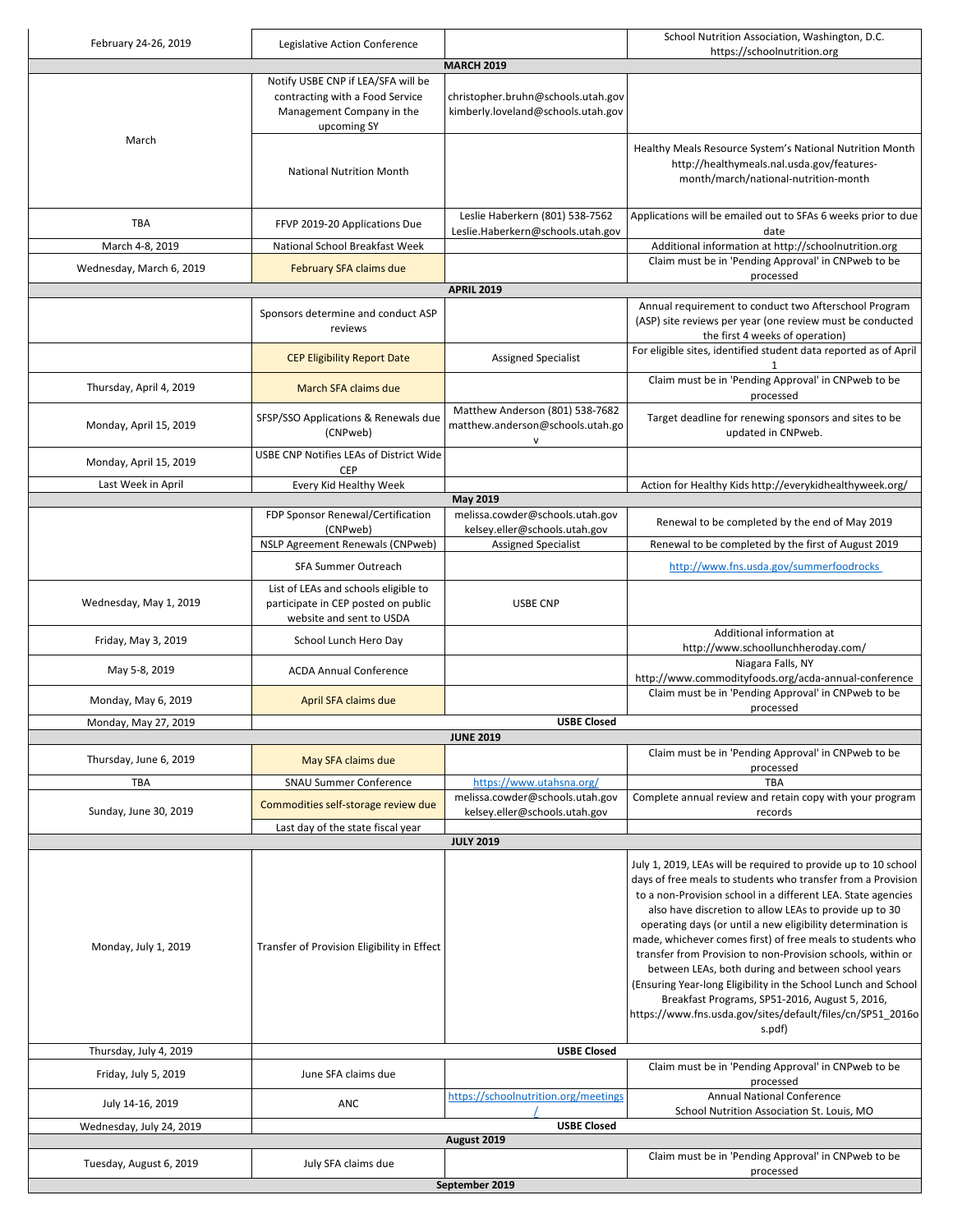| February 24-26, 2019     | Legislative Action Conference                                                                                     |                                                                          | School Nutrition Association, Washington, D.C.                                                                                                                                                                                                                                                                                                                                                                                                                                                                                                                                                                                       |
|--------------------------|-------------------------------------------------------------------------------------------------------------------|--------------------------------------------------------------------------|--------------------------------------------------------------------------------------------------------------------------------------------------------------------------------------------------------------------------------------------------------------------------------------------------------------------------------------------------------------------------------------------------------------------------------------------------------------------------------------------------------------------------------------------------------------------------------------------------------------------------------------|
|                          |                                                                                                                   | <b>MARCH 2019</b>                                                        | https://schoolnutrition.org                                                                                                                                                                                                                                                                                                                                                                                                                                                                                                                                                                                                          |
|                          | Notify USBE CNP if LEA/SFA will be<br>contracting with a Food Service<br>Management Company in the<br>upcoming SY | christopher.bruhn@schools.utah.gov<br>kimberly.loveland@schools.utah.gov |                                                                                                                                                                                                                                                                                                                                                                                                                                                                                                                                                                                                                                      |
| March                    | <b>National Nutrition Month</b>                                                                                   |                                                                          | Healthy Meals Resource System's National Nutrition Month<br>http://healthymeals.nal.usda.gov/features-<br>month/march/national-nutrition-month                                                                                                                                                                                                                                                                                                                                                                                                                                                                                       |
| <b>TBA</b>               | FFVP 2019-20 Applications Due                                                                                     | Leslie Haberkern (801) 538-7562<br>Leslie.Haberkern@schools.utah.gov     | Applications will be emailed out to SFAs 6 weeks prior to due<br>date                                                                                                                                                                                                                                                                                                                                                                                                                                                                                                                                                                |
| March 4-8, 2019          | National School Breakfast Week                                                                                    |                                                                          | Additional information at http://schoolnutrition.org                                                                                                                                                                                                                                                                                                                                                                                                                                                                                                                                                                                 |
| Wednesday, March 6, 2019 | February SFA claims due                                                                                           |                                                                          | Claim must be in 'Pending Approval' in CNPweb to be<br>processed                                                                                                                                                                                                                                                                                                                                                                                                                                                                                                                                                                     |
|                          |                                                                                                                   | <b>APRIL 2019</b>                                                        |                                                                                                                                                                                                                                                                                                                                                                                                                                                                                                                                                                                                                                      |
|                          | Sponsors determine and conduct ASP<br>reviews                                                                     |                                                                          | Annual requirement to conduct two Afterschool Program<br>(ASP) site reviews per year (one review must be conducted<br>the first 4 weeks of operation)                                                                                                                                                                                                                                                                                                                                                                                                                                                                                |
|                          | <b>CEP Eligibility Report Date</b>                                                                                | Assigned Specialist                                                      | For eligible sites, identified student data reported as of April<br>1                                                                                                                                                                                                                                                                                                                                                                                                                                                                                                                                                                |
| Thursday, April 4, 2019  | March SFA claims due                                                                                              |                                                                          | Claim must be in 'Pending Approval' in CNPweb to be<br>processed                                                                                                                                                                                                                                                                                                                                                                                                                                                                                                                                                                     |
| Monday, April 15, 2019   | SFSP/SSO Applications & Renewals due<br>(CNPweb)                                                                  | Matthew Anderson (801) 538-7682<br>matthew.anderson@schools.utah.go<br>V | Target deadline for renewing sponsors and sites to be<br>updated in CNPweb.                                                                                                                                                                                                                                                                                                                                                                                                                                                                                                                                                          |
| Monday, April 15, 2019   | USBE CNP Notifies LEAs of District Wide<br><b>CEP</b>                                                             |                                                                          |                                                                                                                                                                                                                                                                                                                                                                                                                                                                                                                                                                                                                                      |
| Last Week in April       | Every Kid Healthy Week                                                                                            | May 2019                                                                 | Action for Healthy Kids http://everykidhealthyweek.org/                                                                                                                                                                                                                                                                                                                                                                                                                                                                                                                                                                              |
|                          | FDP Sponsor Renewal/Certification                                                                                 | melissa.cowder@schools.utah.gov                                          |                                                                                                                                                                                                                                                                                                                                                                                                                                                                                                                                                                                                                                      |
|                          | (CNPweb)                                                                                                          | kelsey.eller@schools.utah.gov                                            | Renewal to be completed by the end of May 2019                                                                                                                                                                                                                                                                                                                                                                                                                                                                                                                                                                                       |
|                          | <b>NSLP Agreement Renewals (CNPweb)</b>                                                                           | <b>Assigned Specialist</b>                                               | Renewal to be completed by the first of August 2019                                                                                                                                                                                                                                                                                                                                                                                                                                                                                                                                                                                  |
|                          | SFA Summer Outreach                                                                                               |                                                                          | http://www.fns.usda.gov/summerfoodrocks                                                                                                                                                                                                                                                                                                                                                                                                                                                                                                                                                                                              |
| Wednesday, May 1, 2019   | List of LEAs and schools eligible to<br>participate in CEP posted on public<br>website and sent to USDA           | <b>USBE CNP</b>                                                          |                                                                                                                                                                                                                                                                                                                                                                                                                                                                                                                                                                                                                                      |
| Friday, May 3, 2019      | School Lunch Hero Day                                                                                             |                                                                          | Additional information at<br>http://www.schoollunchheroday.com/                                                                                                                                                                                                                                                                                                                                                                                                                                                                                                                                                                      |
| May 5-8, 2019            | <b>ACDA Annual Conference</b>                                                                                     |                                                                          | Niagara Falls, NY<br>http://www.commodityfoods.org/acda-annual-conference                                                                                                                                                                                                                                                                                                                                                                                                                                                                                                                                                            |
| Monday, May 6, 2019      | April SFA claims due                                                                                              |                                                                          | Claim must be in 'Pending Approval' in CNPweb to be<br>processed                                                                                                                                                                                                                                                                                                                                                                                                                                                                                                                                                                     |
| Monday, May 27, 2019     |                                                                                                                   | <b>USBE Closed</b><br><b>JUNE 2019</b>                                   |                                                                                                                                                                                                                                                                                                                                                                                                                                                                                                                                                                                                                                      |
| Thursday, June 6, 2019   | May SFA claims due                                                                                                |                                                                          | Claim must be in 'Pending Approval' in CNPweb to be<br>processed                                                                                                                                                                                                                                                                                                                                                                                                                                                                                                                                                                     |
| <b>TBA</b>               | <b>SNAU Summer Conference</b>                                                                                     | https://www.utahsna.org/                                                 | TBA                                                                                                                                                                                                                                                                                                                                                                                                                                                                                                                                                                                                                                  |
| Sunday, June 30, 2019    | Commodities self-storage review due                                                                               | melissa.cowder@schools.utah.gov<br>kelsey.eller@schools.utah.gov         | Complete annual review and retain copy with your program<br>records                                                                                                                                                                                                                                                                                                                                                                                                                                                                                                                                                                  |
|                          | Last day of the state fiscal year                                                                                 |                                                                          |                                                                                                                                                                                                                                                                                                                                                                                                                                                                                                                                                                                                                                      |
|                          |                                                                                                                   | <b>JULY 2019</b>                                                         | July 1, 2019, LEAs will be required to provide up to 10 school                                                                                                                                                                                                                                                                                                                                                                                                                                                                                                                                                                       |
| Monday, July 1, 2019     | Transfer of Provision Eligibility in Effect                                                                       |                                                                          | days of free meals to students who transfer from a Provision<br>to a non-Provision school in a different LEA. State agencies<br>also have discretion to allow LEAs to provide up to 30<br>operating days (or until a new eligibility determination is<br>made, whichever comes first) of free meals to students who<br>transfer from Provision to non-Provision schools, within or<br>between LEAs, both during and between school years<br>(Ensuring Year-long Eligibility in the School Lunch and School<br>Breakfast Programs, SP51-2016, August 5, 2016,<br>https://www.fns.usda.gov/sites/default/files/cn/SP51_2016o<br>s.pdf) |
| Thursday, July 4, 2019   |                                                                                                                   | <b>USBE Closed</b>                                                       | Claim must be in 'Pending Approval' in CNPweb to be                                                                                                                                                                                                                                                                                                                                                                                                                                                                                                                                                                                  |
| Friday, July 5, 2019     | June SFA claims due                                                                                               | https://schoolnutrition.org/meetings                                     | processed<br><b>Annual National Conference</b>                                                                                                                                                                                                                                                                                                                                                                                                                                                                                                                                                                                       |
| July 14-16, 2019         | ANC                                                                                                               |                                                                          | School Nutrition Association St. Louis, MO                                                                                                                                                                                                                                                                                                                                                                                                                                                                                                                                                                                           |
| Wednesday, July 24, 2019 | <b>USBE Closed</b><br>August 2019                                                                                 |                                                                          |                                                                                                                                                                                                                                                                                                                                                                                                                                                                                                                                                                                                                                      |
| Tuesday, August 6, 2019  | July SFA claims due                                                                                               |                                                                          | Claim must be in 'Pending Approval' in CNPweb to be                                                                                                                                                                                                                                                                                                                                                                                                                                                                                                                                                                                  |
|                          |                                                                                                                   | September 2019                                                           | processed                                                                                                                                                                                                                                                                                                                                                                                                                                                                                                                                                                                                                            |